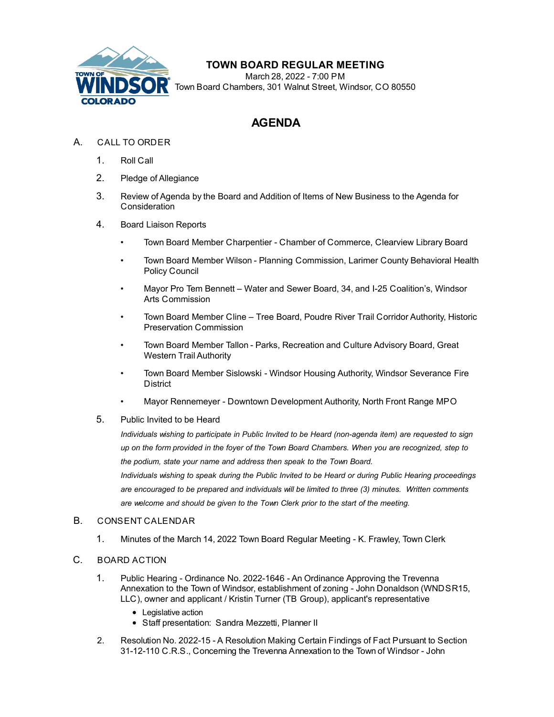

## **TOWN BOARD REGULAR MEETING**

March 28, 2022 - 7:00 PM Town Board Chambers, 301 Walnut Street, Windsor, CO 80550

# **AGENDA**

## A. CALL TO ORDER

- 1. Roll Call
- 2. Pledge of Allegiance
- 3. Review of Agenda by the Board and Addition of Items of New Business to the Agenda for **Consideration**
- 4. Board Liaison Reports
	- Town Board Member Charpentier Chamber of Commerce, Clearview Library Board
	- Town Board Member Wilson Planning Commission, Larimer County Behavioral Health Policy Council
	- Mayor Pro Tem Bennett Water and Sewer Board, 34, and I-25 Coalition's, Windsor Arts Commission
	- Town Board Member Cline Tree Board, Poudre River Trail Corridor Authority, Historic Preservation Commission
	- Town Board Member Tallon Parks, Recreation and Culture Advisory Board, Great Western Trail Authority
	- Town Board Member Sislowski Windsor Housing Authority, Windsor Severance Fire **District**
	- Mayor Rennemeyer Downtown Development Authority, North Front Range MPO
- 5. Public Invited to be Heard

*Individuals wishing to participate in Public Invited to be Heard (non-agenda item) are requested to sign up on the form provided in the foyer of the Town Board Chambers. When you are recognized, step to the podium, state your name and address then speak to the Town Board.*

*Individuals wishing to speak during the Public Invited to be Heard or during Public Hearing proceedings are encouraged to be prepared and individuals will be limited to three (3) minutes. Written comments are welcome and should be given to the Town Clerk prior to the start of the meeting.*

### B. CONSENT CALENDAR

1. [Minutes of the March 14, 2022 Town Board Regular Meeting - K. Frawley, Town Clerk](file:///C:/Windows/TEMP/CoverSheet.aspx?ItemID=1980&MeetingID=357)

## C. BOARD ACTION

- 1. Public Hearing Ordinance No. 2022-1646 An Ordinance Approving the Trevenna [Annexation to the Town of Windsor, establishment of zoning - John Donaldson \(WNDSR15,](file:///C:/Windows/TEMP/CoverSheet.aspx?ItemID=1979&MeetingID=357)  LLC), owner and applicant / Kristin Turner (TB Group), applicant's representative
	- Legislative action
	- Staff presentation: Sandra Mezzetti, Planner II
- 2. [Resolution No. 2022-15 A Resolution Making Certain Findings of Fact Pursuant to Section](file:///C:/Windows/TEMP/CoverSheet.aspx?ItemID=1985&MeetingID=357) 31-12-110 C.R.S., Concerning the Trevenna Annexation to the Town of Windsor - John